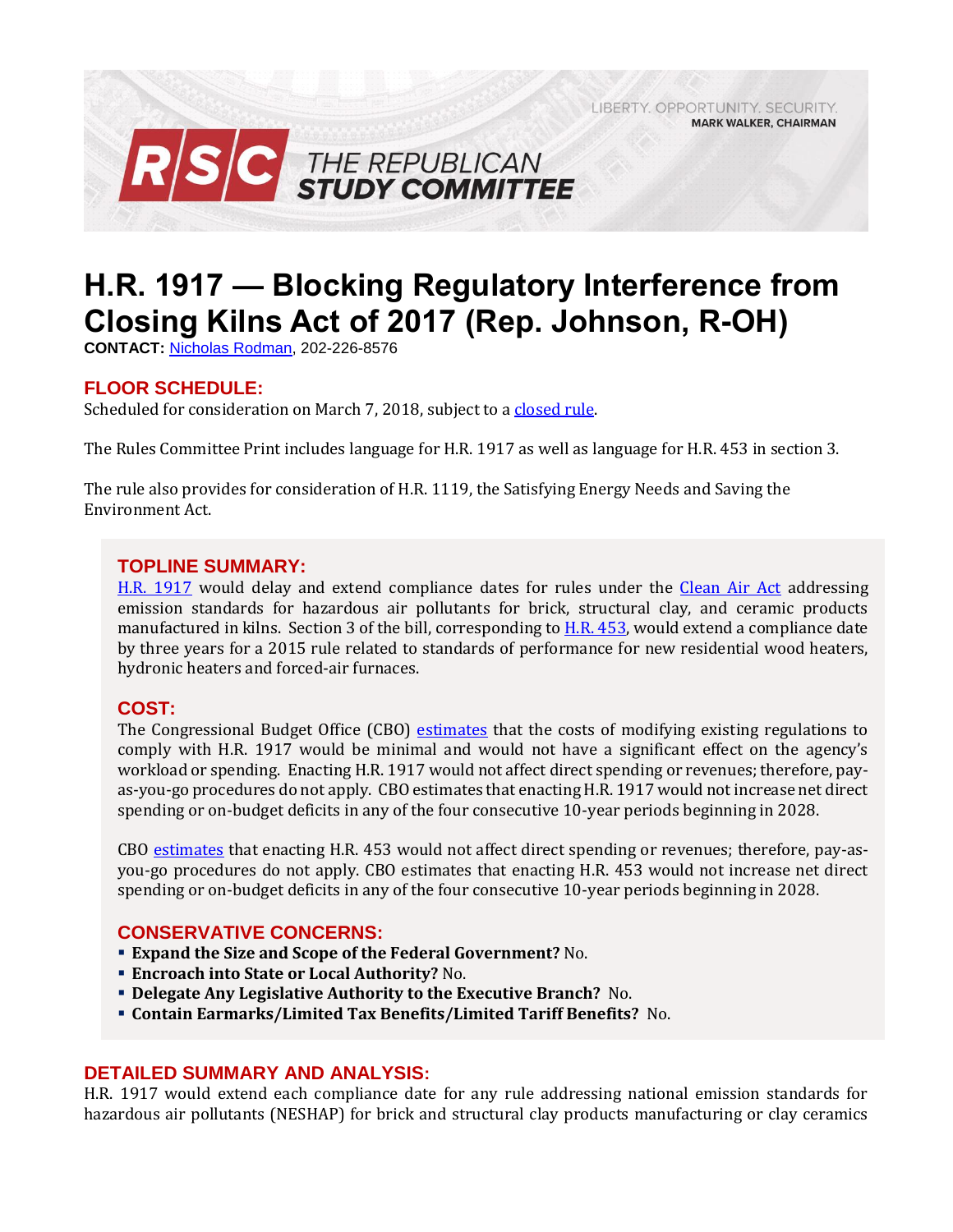LIBERTY. OPPORTUNITY. SECURITY. **MARK WALKER, CHAIRMAN** 



# **H.R. 1917 — Blocking Regulatory Interference from Closing Kilns Act of 2017 (Rep. Johnson, R-OH)**

**CONTACT:** [Nicholas Rodman,](mailto:nicholas.rodman@mail.house.gov) 202-226-8576

# **FLOOR SCHEDULE:**

Scheduled for consideration on March 7, 2018, subject to [a closed rule.](https://rules.house.gov/bill/115/hr-1917)

The Rules Committee Print includes language for H.R. 1917 as well as language for H.R. 453 in section 3.

The rule also provides for consideration of H.R. 1119, the Satisfying Energy Needs and Saving the Environment Act.

## **TOPLINE SUMMARY:**

[H.R. 1917](http://docs.house.gov/billsthisweek/20180305/BILLS-115HR1917-RCP115-62.xml) would delay and extend compliance dates for rules under the [Clean Air Act](https://www.epa.gov/laws-regulations/summary-clean-air-act) addressing emission standards for hazardous air pollutants for brick, structural clay, and ceramic products manufactured in kilns. Section 3 of the bill, corresponding to [H.R.](https://www.gpo.gov/fdsys/pkg/BILLS-115hr453rh/pdf/BILLS-115hr453rh.pdf) 453, would extend a compliance date by three years for a 2015 rule related to standards of performance for new residential wood heaters, hydronic heaters and forced-air furnaces.

#### **COST:**

The Congressional Budget Office (CBO) [estimates](https://www.cbo.gov/system/files/115th-congress-2017-2018/costestimate/hr1917.pdf) that the costs of modifying existing regulations to comply with H.R. 1917 would be minimal and would not have a significant effect on the agency's workload or spending. Enacting H.R. 1917 would not affect direct spending or revenues; therefore, payas-you-go procedures do not apply. CBO estimates that enacting H.R. 1917 would not increase net direct spending or on-budget deficits in any of the four consecutive 10-year periods beginning in 2028.

CBO [estimates](https://www.cbo.gov/system/files/115th-congress-2017-2018/costestimate/hr453.pdf) that enacting H.R. 453 would not affect direct spending or revenues; therefore, pay-asyou-go procedures do not apply. CBO estimates that enacting H.R. 453 would not increase net direct spending or on-budget deficits in any of the four consecutive 10-year periods beginning in 2028.

#### **CONSERVATIVE CONCERNS:**

- **Expand the Size and Scope of the Federal Government?** No.
- **Encroach into State or Local Authority?** No.
- **Delegate Any Legislative Authority to the Executive Branch?** No.
- **Contain Earmarks/Limited Tax Benefits/Limited Tariff Benefits?** No.

#### **DETAILED SUMMARY AND ANALYSIS:**

H.R. 1917 would extend each compliance date for any rule addressing national emission standards for hazardous air pollutants (NESHAP) for brick and structural clay products manufacturing or clay ceramics